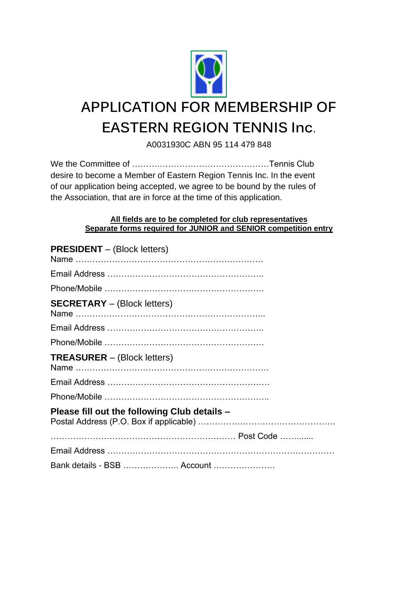

# **APPLICATION FOR MEMBERSHIP OF EASTERN REGION TENNIS Inc**.

A0031930C ABN 95 114 479 848

We the Committee of ……….…………………………………Tennis Club desire to become a Member of Eastern Region Tennis Inc. In the event of our application being accepted, we agree to be bound by the rules of the Association, that are in force at the time of this application.

#### **All fields are to be completed for club representatives Separate forms required for JUNIOR and SENIOR competition entry**

| <b>PRESIDENT</b> – (Block letters)           |
|----------------------------------------------|
|                                              |
|                                              |
| <b>SECRETARY</b> - (Block letters)           |
|                                              |
|                                              |
| <b>TREASURER</b> – (Block letters)           |
|                                              |
|                                              |
| Please fill out the following Club details - |
|                                              |
|                                              |
| Bank details - BSB  Account                  |